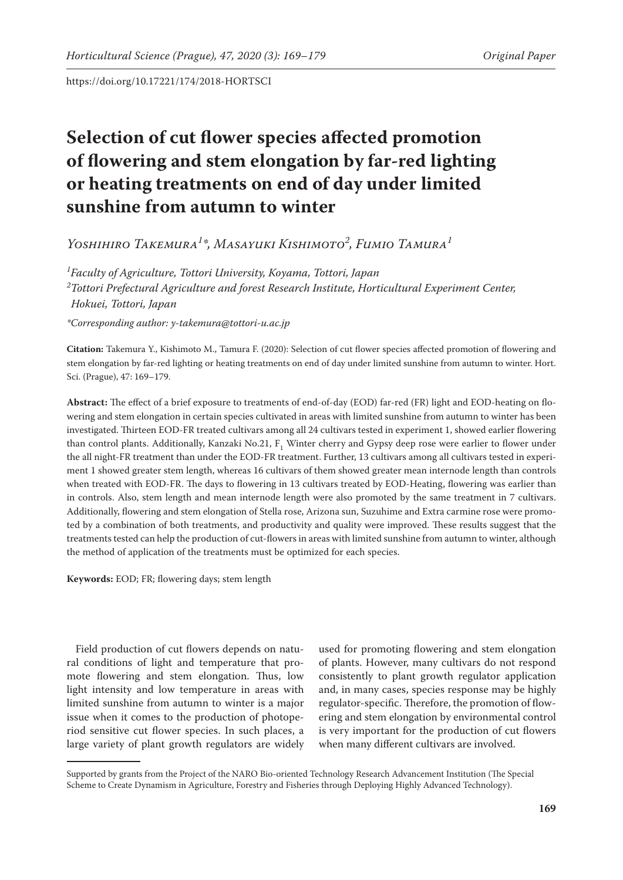# **Selection of cut flower species affected promotion of flowering and stem elongation by far-red lighting or heating treatments on end of day under limited sunshine from autumn to winter**

*Yoshihiro Takemura1 \*, Masayuki Kishimoto<sup>2</sup> , Fumio Tamura1*

*1 Faculty of Agriculture, Tottori University, Koyama, Tottori, Japan 2 Tottori Prefectural Agriculture and forest Research Institute, Horticultural Experiment Center, Hokuei, Tottori, Japan*

*\*Corresponding author: y-takemura@tottori-u.ac.jp*

**Citation:** Takemura Y., Kishimoto M., Tamura F. (2020): Selection of cut flower species affected promotion of flowering and stem elongation by far-red lighting or heating treatments on end of day under limited sunshine from autumn to winter. Hort. Sci. (Prague), 47: 169–179.

**Abstract:** The effect of a brief exposure to treatments of end-of-day (EOD) far-red (FR) light and EOD-heating on flowering and stem elongation in certain species cultivated in areas with limited sunshine from autumn to winter has been investigated. Thirteen EOD-FR treated cultivars among all 24 cultivars tested in experiment 1, showed earlier flowering than control plants. Additionally, Kanzaki No.21,  $\text{F}_1$  Winter cherry and Gypsy deep rose were earlier to flower under the all night-FR treatment than under the EOD-FR treatment. Further, 13 cultivars among all cultivars tested in experiment 1 showed greater stem length, whereas 16 cultivars of them showed greater mean internode length than controls when treated with EOD-FR. The days to flowering in 13 cultivars treated by EOD-Heating, flowering was earlier than in controls. Also, stem length and mean internode length were also promoted by the same treatment in 7 cultivars. Additionally, flowering and stem elongation of Stella rose, Arizona sun, Suzuhime and Extra carmine rose were promoted by a combination of both treatments, and productivity and quality were improved. These results suggest that the treatments tested can help the production of cut-flowers in areas with limited sunshine from autumn to winter, although the method of application of the treatments must be optimized for each species.

**Keywords:** EOD; FR; flowering days; stem length

Field production of cut flowers depends on natural conditions of light and temperature that promote flowering and stem elongation. Thus, low light intensity and low temperature in areas with limited sunshine from autumn to winter is a major issue when it comes to the production of photoperiod sensitive cut flower species. In such places, a large variety of plant growth regulators are widely

used for promoting flowering and stem elongation of plants. However, many cultivars do not respond consistently to plant growth regulator application and, in many cases, species response may be highly regulator-specific. Therefore, the promotion of flowering and stem elongation by environmental control is very important for the production of cut flowers when many different cultivars are involved.

Supported by grants from the Project of the NARO Bio-oriented Technology Research Advancement Institution (The Special Scheme to Create Dynamism in Agriculture, Forestry and Fisheries through Deploying Highly Advanced Technology).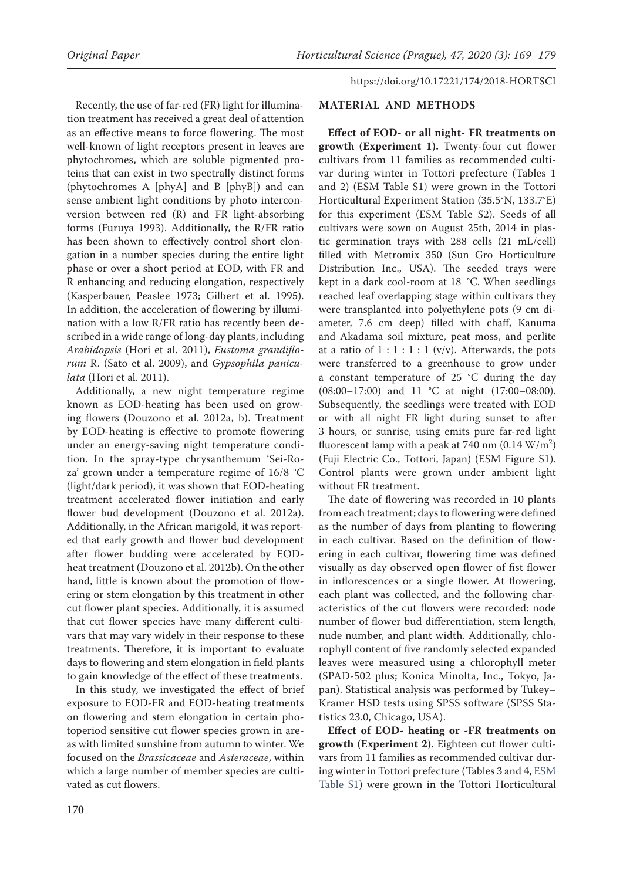Recently, the use of far-red (FR) light for illumination treatment has received a great deal of attention as an effective means to force flowering. The most well-known of light receptors present in leaves are phytochromes, which are soluble pigmented proteins that can exist in two spectrally distinct forms (phytochromes A [phyA] and B [phyB]) and can sense ambient light conditions by photo interconversion between red (R) and FR light-absorbing forms (Furuya 1993). Additionally, the R/FR ratio has been shown to effectively control short elongation in a number species during the entire light phase or over a short period at EOD, with FR and R enhancing and reducing elongation, respectively (Kasperbauer, Peaslee 1973; Gilbert et al. 1995). In addition, the acceleration of flowering by illumination with a low R/FR ratio has recently been described in a wide range of long-day plants, including *Arabidopsis* (Hori et al. 2011), *Eustoma grandiflorum* R. (Sato et al. 2009), and *Gypsophila paniculata* (Hori et al. 2011).

Additionally, a new night temperature regime known as EOD-heating has been used on growing flowers (Douzono et al. 2012a, b). Treatment by EOD-heating is effective to promote flowering under an energy-saving night temperature condition. In the spray-type chrysanthemum 'Sei-Roza' grown under a temperature regime of 16/8 °C (light/dark period), it was shown that EOD-heating treatment accelerated flower initiation and early flower bud development (Douzono et al. 2012a). Additionally, in the African marigold, it was reported that early growth and flower bud development after flower budding were accelerated by EODheat treatment (Douzono et al. 2012b). On the other hand, little is known about the promotion of flowering or stem elongation by this treatment in other cut flower plant species. Additionally, it is assumed that cut flower species have many different cultivars that may vary widely in their response to these treatments. Therefore, it is important to evaluate days to flowering and stem elongation in field plants to gain knowledge of the effect of these treatments.

In this study, we investigated the effect of brief exposure to EOD-FR and EOD-heating treatments on flowering and stem elongation in certain photoperiod sensitive cut flower species grown in areas with limited sunshine from autumn to winter. We focused on the *Brassicaceae* and *Asteraceae*, within which a large number of member species are cultivated as cut flowers.

### **MATERIAL AND METHODS**

**Effect of EOD- or all night- FR treatments on growth (Experiment 1).** Twenty-four cut flower cultivars from 11 families as recommended cultivar during winter in Tottori prefecture (Tables 1 and 2) (ESM Table S1) were grown in the Tottori Horticultural Experiment Station (35.5°N, 133.7°E) for this experiment (ESM Table S2). Seeds of all cultivars were sown on August 25th, 2014 in plastic germination trays with 288 cells (21 mL/cell) filled with Metromix 350 (Sun Gro Horticulture Distribution Inc., USA). The seeded trays were kept in a dark cool-room at 18 °C. When seedlings reached leaf overlapping stage within cultivars they were transplanted into polyethylene pots (9 cm diameter, 7.6 cm deep) filled with chaff, Kanuma and Akadama soil mixture, peat moss, and perlite at a ratio of  $1:1:1:1$  (v/v). Afterwards, the pots were transferred to a greenhouse to grow under a constant temperature of 25 °C during the day (08:00–17:00) and 11 °C at night (17:00–08:00). Subsequently, the seedlings were treated with EOD or with all night FR light during sunset to after 3 hours, or sunrise, using emits pure far-red light fluorescent lamp with a peak at 740 nm  $(0.14 \text{ W/m}^2)$ (Fuji Electric Co., Tottori, Japan) (ESM Figure S1). Control plants were grown under ambient light without FR treatment.

The date of flowering was recorded in 10 plants from each treatment; days to flowering were defined as the number of days from planting to flowering in each cultivar. Based on the definition of flowering in each cultivar, flowering time was defined visually as day observed open flower of fist flower in inflorescences or a single flower. At flowering, each plant was collected, and the following characteristics of the cut flowers were recorded: node number of flower bud differentiation, stem length, nude number, and plant width. Additionally, chlorophyll content of five randomly selected expanded leaves were measured using a chlorophyll meter (SPAD-502 plus; Konica Minolta, Inc., Tokyo, Japan). Statistical analysis was performed by Tukey– Kramer HSD tests using SPSS software (SPSS Statistics 23.0, Chicago, USA).

**Effect of EOD- heating or -FR treatments on growth (Experiment 2)**. Eighteen cut flower cultivars from 11 families as recommended cultivar during winter in Tottori prefecture (Tables 3 and 4, ESM Table S1) were grown in the Tottori Horticultural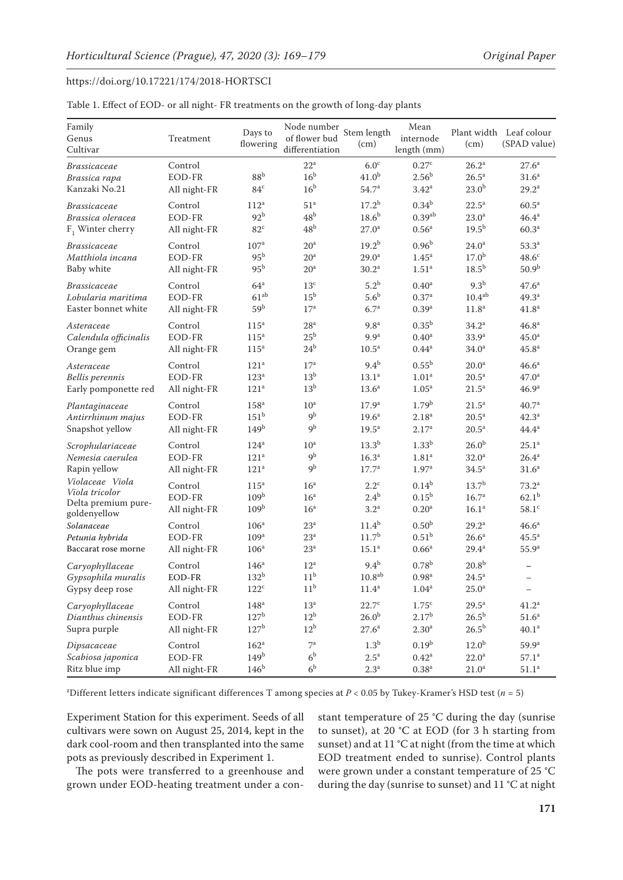| Table 1. Effect of EOD- or all night- FR treatments on the growth of long-day plants |  |  |
|--------------------------------------------------------------------------------------|--|--|
|--------------------------------------------------------------------------------------|--|--|

| Family<br>Genus<br>Cultivar                                              | Treatment                                | Days to<br>flowering                                  | Node number<br>of flower bud<br>differentiation       | Stem length<br>(cm)                                         | Mean<br>internode<br>length (mm)                            | (cm)                                                        | Plant width Leaf colour<br>(SPAD value)            |
|--------------------------------------------------------------------------|------------------------------------------|-------------------------------------------------------|-------------------------------------------------------|-------------------------------------------------------------|-------------------------------------------------------------|-------------------------------------------------------------|----------------------------------------------------|
| <i>Brassicaceae</i><br>Brassica rapa<br>Kanzaki No.21                    | Control<br>EOD-FR<br>All night-FR        | 88 <sup>b</sup><br>84 <sup>c</sup>                    | $22^{\rm a}$<br>16 <sup>b</sup><br>16 <sup>b</sup>    | 6.0 <sup>c</sup><br>41.0 <sup>b</sup><br>54.7 <sup>a</sup>  | 0.27 <sup>c</sup><br>2.56 <sup>b</sup><br>3.42 <sup>a</sup> | $26.2^{\rm a}$<br>26.5 <sup>a</sup><br>23.0 <sup>b</sup>    | 27.6 <sup>a</sup><br>31.6 <sup>a</sup><br>$29.2^a$ |
| <i>Brassicaceae</i>                                                      | Control                                  | $112^a$                                               | 51 <sup>a</sup>                                       | $17.2^{b}$                                                  | $0.34^{b}$                                                  | $22.5^a$                                                    | 60.5 <sup>a</sup>                                  |
| Brassica oleracea                                                        | EOD-FR                                   | 92 <sup>b</sup>                                       | 48 <sup>b</sup>                                       | 18.6 <sup>b</sup>                                           | 0.39 <sup>ab</sup>                                          | 23.0 <sup>a</sup>                                           | $46.4^{\rm a}$                                     |
| $F_1$ Winter cherry                                                      | All night-FR                             | $82^{\circ}$                                          | 48 <sup>b</sup>                                       | 27.0 <sup>a</sup>                                           | 0.56 <sup>a</sup>                                           | $19.5^{b}$                                                  | 60.3 <sup>a</sup>                                  |
| <b>Brassicaceae</b>                                                      | Control                                  | 107 <sup>a</sup>                                      | 20 <sup>a</sup>                                       | $19.2^{b}$                                                  | 0.96 <sup>b</sup>                                           | 24.0 <sup>a</sup>                                           | 53.3 <sup>a</sup>                                  |
| Matthiola incana                                                         | EOD-FR                                   | 95 <sup>b</sup>                                       | 20 <sup>a</sup>                                       | 29.0 <sup>a</sup>                                           | 1.45 <sup>a</sup>                                           | 17.0 <sup>b</sup>                                           | 48.6 <sup>c</sup>                                  |
| Baby white                                                               | All night-FR                             | 95 <sup>b</sup>                                       | 20 <sup>a</sup>                                       | 30.2 <sup>a</sup>                                           | 1.51 <sup>a</sup>                                           | 18.5 <sup>b</sup>                                           | 50.9 <sup>b</sup>                                  |
| <i>Brassicaceae</i>                                                      | Control                                  | 64 <sup>a</sup>                                       | 13 <sup>c</sup>                                       | 5.2 <sup>b</sup>                                            | 0.40 <sup>a</sup>                                           | 9.3 <sup>b</sup>                                            | 47.6 <sup>a</sup>                                  |
| Lobularia maritima                                                       | EOD-FR                                   | $61^{ab}$                                             | 15 <sup>b</sup>                                       | 5.6 <sup>b</sup>                                            | $0.37^{a}$                                                  | $10.4^{ab}$                                                 | 49.3 <sup>a</sup>                                  |
| Easter bonnet white                                                      | All night-FR                             | 59 <sup>b</sup>                                       | 17 <sup>a</sup>                                       | 6.7 <sup>a</sup>                                            | 0.39 <sup>a</sup>                                           | 11.8 <sup>a</sup>                                           | 41.8 <sup>a</sup>                                  |
| Asteraceae                                                               | Control                                  | 115 <sup>a</sup>                                      | 28 <sup>a</sup>                                       | 9.8 <sup>a</sup>                                            | $0.35^{b}$                                                  | $34.2^a$                                                    | 46.8 <sup>a</sup>                                  |
| Calendula officinalis                                                    | EOD-FR                                   | $115^a$                                               | 25 <sup>b</sup>                                       | 9.9 <sup>a</sup>                                            | 0.40 <sup>a</sup>                                           | 33.9 <sup>a</sup>                                           | 45.0 <sup>a</sup>                                  |
| Orange gem                                                               | All night-FR                             | $115^a$                                               | $24^{\rm b}$                                          | $10.5^a$                                                    | $0.44^{a}$                                                  | 34.0 <sup>a</sup>                                           | 45.8 <sup>a</sup>                                  |
| Asteraceae                                                               | Control                                  | 121 <sup>a</sup>                                      | 17 <sup>a</sup>                                       | $9.4^{b}$                                                   | $0.55^{\rm b}$                                              | 20.0 <sup>a</sup>                                           | 46.6 <sup>a</sup>                                  |
| Bellis perennis                                                          | EOD-FR                                   | 123 <sup>a</sup>                                      | 13 <sup>b</sup>                                       | 13.1 <sup>a</sup>                                           | 1.01 <sup>a</sup>                                           | $20.5^a$                                                    | 47.0 <sup>a</sup>                                  |
| Early pomponette red                                                     | All night-FR                             | 121 <sup>a</sup>                                      | 13 <sup>b</sup>                                       | 13.6 <sup>a</sup>                                           | 1.05 <sup>a</sup>                                           | 21.5 <sup>a</sup>                                           | 46.9 <sup>a</sup>                                  |
| Plantaginaceae                                                           | Control                                  | $158^{\rm a}$                                         | 10 <sup>a</sup>                                       | 17.9 <sup>a</sup>                                           | 1.79 <sup>b</sup>                                           | $21.5^a$                                                    | 40.7 <sup>a</sup>                                  |
| Antirrhinum majus                                                        | EOD-FR                                   | $151^{\rm b}$                                         | 9 <sup>b</sup>                                        | 19.6 <sup>a</sup>                                           | 2.18 <sup>a</sup>                                           | $20.5^a$                                                    | 42.3 <sup>a</sup>                                  |
| Snapshot yellow                                                          | All night-FR                             | 149 <sup>b</sup>                                      | 9 <sup>b</sup>                                        | 19.5 <sup>a</sup>                                           | $2.17^{\rm a}$                                              | $20.5^a$                                                    | $44.4^a$                                           |
| Scrophulariaceae                                                         | Control                                  | 124 <sup>a</sup>                                      | 10 <sup>a</sup>                                       | 13.3 <sup>b</sup>                                           | 1.33 <sup>b</sup>                                           | 26.0 <sup>b</sup>                                           | $25.1^{\rm a}$                                     |
| Nemesia caerulea                                                         | EOD-FR                                   | 121 <sup>a</sup>                                      | 9 <sup>b</sup>                                        | 16.3 <sup>a</sup>                                           | 1.81 <sup>a</sup>                                           | 32.0 <sup>a</sup>                                           | $26.4^{\rm a}$                                     |
| Rapin yellow                                                             | All night-FR                             | 121 <sup>a</sup>                                      | 9 <sup>b</sup>                                        | $17.7^a$                                                    | 1.97 <sup>a</sup>                                           | 34.5 <sup>a</sup>                                           | 31.6 <sup>a</sup>                                  |
| Violaceae Viola<br>Viola tricolor<br>Delta premium pure-<br>goldenyellow | Control<br>EOD-FR<br>All night-FR        | $115^a$<br>109 <sup>b</sup><br>109 <sup>b</sup>       | 16 <sup>a</sup><br>16 <sup>a</sup><br>16 <sup>a</sup> | $2.2^{\circ}$<br>$2.4^{\rm b}$<br>3.2 <sup>a</sup>          | $0.14^{b}$<br>$0.15^{b}$<br>0.20 <sup>a</sup>               | 13.7 <sup>b</sup><br>16.7 <sup>a</sup><br>16.1 <sup>a</sup> | $73.2^a$<br>$62.1^{b}$<br>$58.1^{\circ}$           |
| Solanaceae                                                               | Control                                  | 106 <sup>a</sup>                                      | $23^a$                                                | $11.4^{b}$                                                  | 0.50 <sup>b</sup>                                           | $29.2^a$                                                    | 46.6 <sup>a</sup>                                  |
| Petunia hybrida                                                          | EOD-FR                                   | 109 <sup>a</sup>                                      | 23 <sup>a</sup>                                       | 11.7 <sup>b</sup>                                           | $0.51^{\rm b}$                                              | 26.6 <sup>a</sup>                                           | $45.5^{\rm a}$                                     |
| Baccarat rose morne                                                      | All night-FR                             | 106 <sup>a</sup>                                      | 23 <sup>a</sup>                                       | 15.1 <sup>a</sup>                                           | 0.66 <sup>a</sup>                                           | $29.4^a$                                                    | 55.9 <sup>a</sup>                                  |
| Caryophyllaceae<br>Gypsophila muralis<br>Gypsy deep rose                 | Control<br><b>EOD-FR</b><br>All night-FR | 146 <sup>a</sup><br>132 <sup>b</sup><br>$122^{\circ}$ | $12^a$<br>11 <sup>b</sup><br>11 <sup>b</sup>          | 9.4 <sup>b</sup><br>10.8 <sup>ab</sup><br>11.4 <sup>a</sup> | $0.78^{b}$<br>0.98 <sup>a</sup><br>1.04 <sup>a</sup>        | 20.8 <sup>b</sup><br>$24.5^{\circ}$<br>$25.0^{\rm a}$       | $\qquad \qquad -$<br>$\qquad \qquad -$             |
| Caryophyllaceae                                                          | Control                                  | 148 <sup>a</sup>                                      | 13 <sup>a</sup>                                       | $22.7^{\circ}$                                              | 1.75 <sup>c</sup>                                           | $29.5^a$                                                    | $41.2^a$                                           |
| Dianthus chinensis                                                       | EOD-FR                                   | 127 <sup>b</sup>                                      | $12^{\rm b}$                                          | 26.0 <sup>b</sup>                                           | $2.17^{b}$                                                  | 26.5 <sup>b</sup>                                           | 51.6 <sup>a</sup>                                  |
| Supra purple                                                             | All night-FR                             | 127 <sup>b</sup>                                      | 12 <sup>b</sup>                                       | $27.6^{\rm a}$                                              | 2.30 <sup>a</sup>                                           | $26.5^{\rm b}$                                              | 40.1 <sup>a</sup>                                  |
| Dipsacaceae                                                              | Control                                  | $162^a$                                               | $7^{\rm a}$                                           | 1.3 <sup>b</sup>                                            | 0.19 <sup>b</sup>                                           | 12.0 <sup>b</sup>                                           | $59.9^{\rm a}$                                     |
| Scabiosa japonica                                                        | EOD-FR                                   | 149 <sup>b</sup>                                      | 6 <sup>b</sup>                                        | $2.5^{\mathrm{a}}$                                          | $0.42^{\rm a}$                                              | $22.0^{\rm a}$                                              | $57.1^{\rm a}$                                     |
| Ritz blue imp                                                            | All night-FR                             | 146 <sup>b</sup>                                      | 6 <sup>b</sup>                                        | 2.3 <sup>a</sup>                                            | $0.38\mathrm{^a}$                                           | $21.0\mathrm{^a}$                                           | $51.1^{\rm a}$                                     |

z Different letters indicate significant differences T among species at *P* < 0.05 by Tukey-Kramer's HSD test (*n* = 5)

Experiment Station for this experiment. Seeds of all cultivars were sown on August 25, 2014, kept in the dark cool-room and then transplanted into the same pots as previously described in Experiment 1.

The pots were transferred to a greenhouse and grown under EOD-heating treatment under a constant temperature of 25 °C during the day (sunrise to sunset), at 20 °C at EOD (for 3 h starting from sunset) and at 11 °C at night (from the time at which EOD treatment ended to sunrise). Control plants were grown under a constant temperature of 25 °C during the day (sunrise to sunset) and 11 °C at night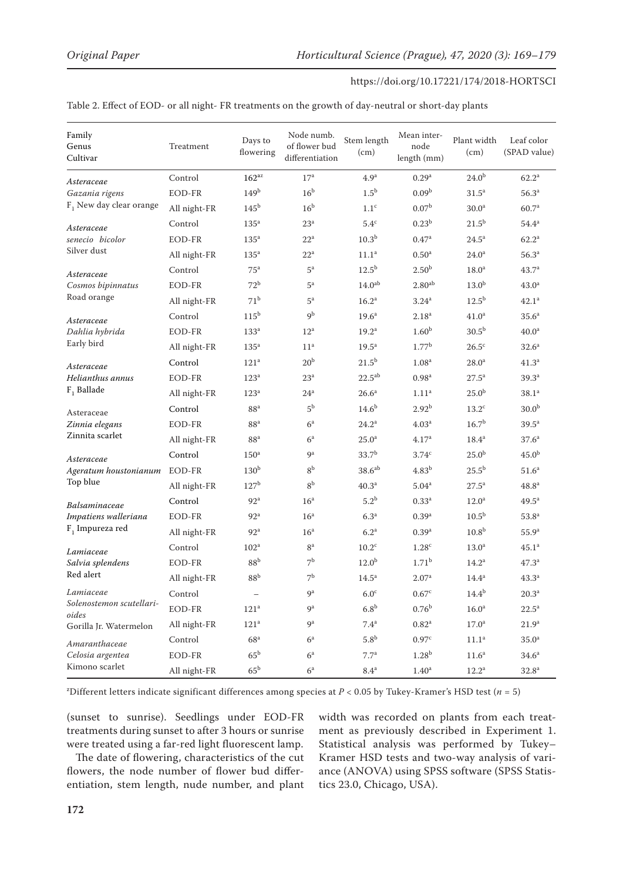| Family<br>Genus<br>Cultivar       | Treatment    | Days to<br>flowering | Node numb.<br>of flower bud<br>differentiation | Stem length<br>(cm) | Mean inter-<br>node<br>length (mm) | Plant width<br>(cm) | Leaf color<br>(SPAD value) |
|-----------------------------------|--------------|----------------------|------------------------------------------------|---------------------|------------------------------------|---------------------|----------------------------|
| Asteraceae                        | Control      | $162^{az}$           | 17 <sup>a</sup>                                | 4.9 <sup>a</sup>    | 0.29 <sup>a</sup>                  | 24.0 <sup>b</sup>   | $62.2^{\rm a}$             |
| Gazania rigens                    | EOD-FR       | 149 <sup>b</sup>     | 16 <sup>b</sup>                                | 1.5 <sup>b</sup>    | 0.09 <sup>b</sup>                  | 31.5 <sup>a</sup>   | 56.3 <sup>a</sup>          |
| $F1$ New day clear orange         | All night-FR | 145 <sup>b</sup>     | 16 <sup>b</sup>                                | 1.1 <sup>c</sup>    | 0.07 <sup>b</sup>                  | 30.0 <sup>a</sup>   | 60.7 <sup>a</sup>          |
| Asteraceae                        | Control      | 135 <sup>a</sup>     | $23^{\rm a}$                                   | $5.4^{\rm c}$       | 0.23 <sup>b</sup>                  | $21.5^{b}$          | $54.4^{\rm a}$             |
| senecio bicolor                   | EOD-FR       | 135 <sup>a</sup>     | $22^{\mathrm{a}}$                              | 10.3 <sup>b</sup>   | 0.47 <sup>a</sup>                  | $24.5^{\circ}$      | $62.2^{\rm a}$             |
| Silver dust                       | All night-FR | $135^a$              | $22^a$                                         | 11.1 <sup>a</sup>   | 0.50 <sup>a</sup>                  | 24.0 <sup>a</sup>   | 56.3 <sup>a</sup>          |
| Asteraceae                        | Control      | 75 <sup>a</sup>      | $5^{\rm a}$                                    | $12.5^{b}$          | 2.50 <sup>b</sup>                  | 18.0 <sup>a</sup>   | 43.7 <sup>a</sup>          |
| Cosmos bipinnatus                 | EOD-FR       | 72 <sup>b</sup>      | $5^{\mathrm{a}}$                               | 14.0 <sup>ab</sup>  | $2.80^{\rm ab}$                    | 13.0 <sup>b</sup>   | 43.0 <sup>a</sup>          |
| Road orange                       | All night-FR | 71 <sup>b</sup>      | $5^{\mathrm{a}}$                               | 16.2 <sup>a</sup>   | $3.24$ <sup>a</sup>                | $12.5^{b}$          | $42.1^a$                   |
| Asteraceae                        | Control      | 115 <sup>b</sup>     | 9 <sup>b</sup>                                 | 19.6 <sup>a</sup>   | 2.18 <sup>a</sup>                  | 41.0 <sup>a</sup>   | 35.6 <sup>a</sup>          |
| Dahlia hybrida                    | EOD-FR       | 133 <sup>a</sup>     | $12^a$                                         | 19.2 <sup>a</sup>   | 1.60 <sup>b</sup>                  | 30.5 <sup>b</sup>   | 40.0 <sup>a</sup>          |
| Early bird                        | All night-FR | 135 <sup>a</sup>     | 11 <sup>a</sup>                                | 19.5 <sup>a</sup>   | 1.77 <sup>b</sup>                  | $26.5^{\circ}$      | 32.6 <sup>a</sup>          |
| Asteraceae                        | Control      | 121 <sup>a</sup>     | 20 <sup>b</sup>                                | $21.5^{b}$          | 1.08 <sup>a</sup>                  | 28.0 <sup>a</sup>   | 41.3 <sup>a</sup>          |
| Helianthus annus                  | EOD-FR       | 123 <sup>a</sup>     | 23 <sup>a</sup>                                | $22.5^{ab}$         | 0.98 <sup>a</sup>                  | $27.5^{\rm a}$      | 39.3 <sup>a</sup>          |
| $F1$ Ballade                      | All night-FR | 123 <sup>a</sup>     | 24 <sup>a</sup>                                | 26.6 <sup>a</sup>   | 1.11 <sup>a</sup>                  | 25.0 <sup>b</sup>   | 38.1 <sup>a</sup>          |
| Asteraceae                        | Control      | 88 <sup>a</sup>      | 5 <sup>b</sup>                                 | $14.6^{b}$          | 2.92 <sup>b</sup>                  | 13.2 <sup>c</sup>   | 30.0 <sup>b</sup>          |
| Zinnia elegans                    | EOD-FR       | 88 <sup>a</sup>      | $6^a$                                          | $24.2^a$            | 4.03 <sup>a</sup>                  | 16.7 <sup>b</sup>   | $39.5^{\text{a}}$          |
| Zinnita scarlet                   | All night-FR | 88 <sup>a</sup>      | 6 <sup>a</sup>                                 | 25.0 <sup>a</sup>   | 4.17 <sup>a</sup>                  | $18.4^a$            | 37.6 <sup>a</sup>          |
| Asteraceae                        | Control      | 150 <sup>a</sup>     | 9 <sup>a</sup>                                 | $33.7^{b}$          | 3.74c                              | 25.0 <sup>b</sup>   | 45.0 <sup>b</sup>          |
| Ageratum houstonianum             | EOD-FR       | $130^{\rm b}$        | 8 <sup>b</sup>                                 | 38.6 <sup>ab</sup>  | $4.83^{b}$                         | $25.5^{b}$          | 51.6 <sup>a</sup>          |
| Top blue                          | All night-FR | 127 <sup>b</sup>     | 8 <sup>b</sup>                                 | 40.3 <sup>a</sup>   | 5.04 <sup>a</sup>                  | $27.5^{\rm a}$      | 48.8 <sup>a</sup>          |
| Balsaminaceae                     | Control      | 92 <sup>a</sup>      | 16 <sup>a</sup>                                | 5.2 <sup>b</sup>    | $0.33^{a}$                         | 12.0 <sup>a</sup>   | $49.5^a$                   |
| Impatiens walleriana              | EOD-FR       | 92 <sup>a</sup>      | 16 <sup>a</sup>                                | 6.3 <sup>a</sup>    | 0.39 <sup>a</sup>                  | 10.5 <sup>b</sup>   | 53.8 <sup>a</sup>          |
| $F_1$ Impureza red                | All night-FR | 92 <sup>a</sup>      | 16 <sup>a</sup>                                | 6.2 <sup>a</sup>    | 0.39 <sup>a</sup>                  | 10.8 <sup>b</sup>   | 55.9 <sup>a</sup>          |
| Lamiaceae                         | Control      | 102 <sup>a</sup>     | 8 <sup>a</sup>                                 | $10.2^{\circ}$      | 1.28 <sup>c</sup>                  | 13.0 <sup>a</sup>   | $45.1^{\circ}$             |
| Salvia splendens                  | EOD-FR       | 88 <sup>b</sup>      | 7 <sup>b</sup>                                 | 12.0 <sup>b</sup>   | 1.71 <sup>b</sup>                  | 14.2 <sup>a</sup>   | $47.3^{\circ}$             |
| Red alert                         | All night-FR | 88 <sup>b</sup>      | 7 <sup>b</sup>                                 | 14.5 <sup>a</sup>   | 2.07 <sup>a</sup>                  | $14.4^a$            | 43.3 <sup>a</sup>          |
| Lamiaceae                         | Control      | $\qquad \qquad -$    | $9^{\rm a}$                                    | $6.0^\circ$         | 0.67 <sup>c</sup>                  | $14.4^{\rm b}$      | 20.3 <sup>a</sup>          |
| Solenostemon scutellari-<br>oides | EOD-FR       | 121 <sup>a</sup>     | <b>g</b> a                                     | 6.8 <sup>b</sup>    | 0.76 <sup>b</sup>                  | 16.0 <sup>a</sup>   | $22.5^{\mathrm{a}}$        |
| Gorilla Jr. Watermelon            | All night-FR | $121^{\rm a}$        | $\mathbf{Q}^{\text{a}}$                        | 7.4 <sup>a</sup>    | $0.82\ensuremath{^\mathrm{a}}$     | 17.0 <sup>a</sup>   | 21.9 <sup>a</sup>          |
| Amaranthaceae                     | Control      | 68 <sup>a</sup>      | $6^a$                                          | 5.8 <sup>b</sup>    | 0.97 <sup>c</sup>                  | 11.1 <sup>a</sup>   | 35.0 <sup>a</sup>          |
| Celosia argentea                  | EOD-FR       | 65 <sup>b</sup>      | $6^{\rm a}$                                    | $7.7^{a}$           | 1.28 <sup>b</sup>                  | 11.6 <sup>a</sup>   | 34.6 <sup>a</sup>          |
| Kimono scarlet                    | All night-FR | $65^{\rm b}$         | $6^{\mathrm{a}}$                               | $8.4^{\rm a}$       | $1.40^{\rm a}$                     | $12.2^{\rm a}$      | $32.8^{\rm a}$             |

Table 2. Effect of EOD- or all night- FR treatments on the growth of day-neutral or short-day plants

z Different letters indicate significant differences among species at *P* < 0.05 by Tukey-Kramer's HSD test (*n* = 5)

(sunset to sunrise). Seedlings under EOD-FR treatments during sunset to after 3 hours or sunrise were treated using a far-red light fluorescent lamp.

The date of flowering, characteristics of the cut flowers, the node number of flower bud differentiation, stem length, nude number, and plant width was recorded on plants from each treatment as previously described in Experiment 1. Statistical analysis was performed by Tukey– Kramer HSD tests and two-way analysis of variance (ANOVA) using SPSS software (SPSS Statistics 23.0, Chicago, USA).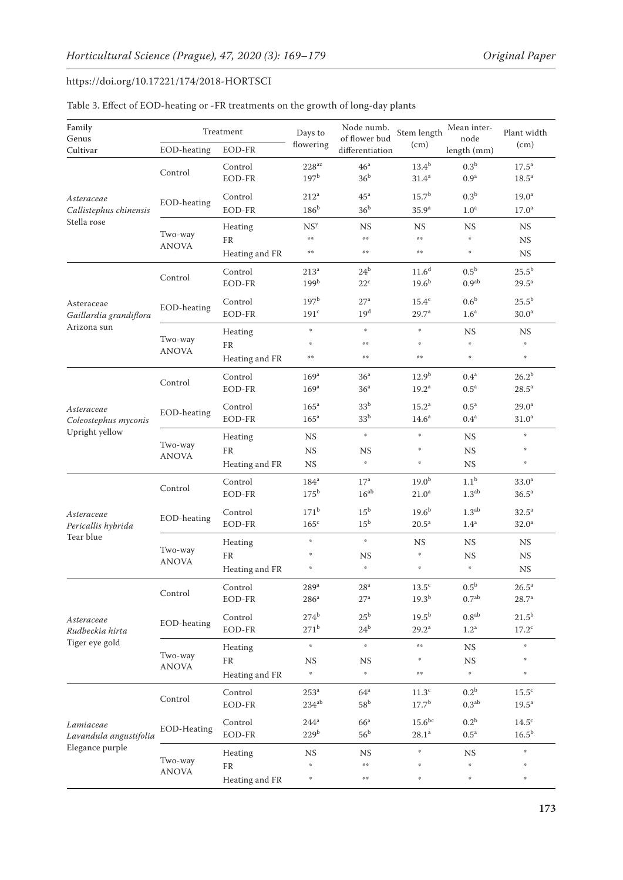| Family<br>Genus<br>Cultivar          | EOD-heating             | Treatment<br>EOD-FR | Days to<br>flowering              | Node numb.<br>of flower bud<br>differentiation | Stem length<br>(cm)    | Mean inter-<br>node<br>length (mm) | Plant width<br>(cm)                    |
|--------------------------------------|-------------------------|---------------------|-----------------------------------|------------------------------------------------|------------------------|------------------------------------|----------------------------------------|
|                                      |                         |                     |                                   | 46 <sup>a</sup>                                |                        | 0.3 <sup>b</sup>                   |                                        |
|                                      | Control                 | Control<br>EOD-FR   | $228^{az}$<br>197 <sup>b</sup>    | 36 <sup>b</sup>                                | $13.4^{b}$<br>$31.4^a$ | 0.9 <sup>a</sup>                   | 17.5 <sup>a</sup><br>18.5 <sup>a</sup> |
|                                      |                         | Control             | 212 <sup>a</sup>                  | 45 <sup>a</sup>                                | 15.7 <sup>b</sup>      | 0.3 <sup>b</sup>                   | 19.0 <sup>a</sup>                      |
| Asteraceae<br>Callistephus chinensis | EOD-heating             | EOD-FR              | 186 <sup>b</sup>                  | 36 <sup>b</sup>                                | 35.9 <sup>a</sup>      | 1.0 <sup>a</sup>                   | 17.0 <sup>a</sup>                      |
| Stella rose                          |                         | Heating             | NS <sup>y</sup>                   | <b>NS</b>                                      | <b>NS</b>              | $_{\rm NS}$                        | <b>NS</b>                              |
|                                      | Two-way                 | FR                  | 染染                                | 操作                                             | $\pm\pm$               | $\mathcal{G}_\mathcal{R}$          | <b>NS</b>                              |
|                                      | <b>ANOVA</b>            | Heating and FR      | 染染                                | 操作                                             | 哈哈                     | $\mathcal{G}_\mathcal{R}$          | $_{\rm NS}$                            |
|                                      |                         | Control             | 213 <sup>a</sup>                  | 24 <sup>b</sup>                                | 11.6 <sup>d</sup>      | 0.5 <sup>b</sup>                   | $25.5^{\rm b}$                         |
|                                      | Control                 | EOD-FR              | 199 <sup>b</sup>                  | $22^{\circ}$                                   | $19.6^{b}$             | $0.9^{\rm ab}$                     | $29.5^a$                               |
| Asteraceae                           |                         | Control             | 197 <sup>b</sup>                  | 27 <sup>a</sup>                                | $15.4^{\circ}$         | 0.6 <sup>b</sup>                   | $25.5^{\rm b}$                         |
| Gaillardia grandiflora               | EOD-heating             | EOD-FR              | 191 <sup>c</sup>                  | 19 <sup>d</sup>                                | 29.7 <sup>a</sup>      | 1.6 <sup>a</sup>                   | 30.0 <sup>a</sup>                      |
| Arizona sun                          |                         | Heating             | $\frac{M}{2}$                     | 崇                                              | $\frac{M_{\rm F}}{M}$  | $_{\rm NS}$                        | <b>NS</b>                              |
|                                      | Two-way<br><b>ANOVA</b> | FR                  | $\frac{M}{2}$                     | 染染                                             | $\frac{M}{2}$          | $\mathcal{G}$                      | $\mathcal{G}$                          |
|                                      |                         | Heating and FR      | 染染                                | 染物                                             | 操作                     | $\mathcal{U}$                      | $\mathfrak{g}$                         |
|                                      |                         | Control             | 169 <sup>a</sup>                  | 36 <sup>a</sup>                                | 12.9 <sup>b</sup>      | 0.4 <sup>a</sup>                   | $26.2^{b}$                             |
|                                      | Control                 | EOD-FR              | 169 <sup>a</sup>                  | 36 <sup>a</sup>                                | 19.2 <sup>a</sup>      | 0.5 <sup>a</sup>                   | $28.5^a$                               |
| Asteraceae                           | EOD-heating             | Control             | 165 <sup>a</sup>                  | 33 <sup>b</sup>                                | 15.2 <sup>a</sup>      | 0.5 <sup>a</sup>                   | 29.0 <sup>a</sup>                      |
| Coleostephus myconis                 |                         | EOD-FR              | $165^{\circ}$                     | 33 <sup>b</sup>                                | 14.6 <sup>a</sup>      | 0.4 <sup>a</sup>                   | 31.0 <sup>a</sup>                      |
| Upright yellow                       | Two-way<br><b>ANOVA</b> | Heating             | $_{\rm NS}$                       | $\frac{d\Phi}{d\Phi}$                          | $\frac{M}{2}$          | $_{\rm NS}$                        | $\mathcal{G}$                          |
|                                      |                         | ${\rm FR}$          | $_{\rm NS}$                       | <b>NS</b>                                      | $\frac{M_{\rm F}}{M}$  | $_{\rm NS}$                        | $\mathcal{G}_\mathcal{R}$              |
|                                      |                         | Heating and FR      | <b>NS</b>                         | $\frac{d\Phi}{d\Phi}$                          | $\frac{M_{\rm F}}{M}$  | NS                                 | $\mathcal{G}$                          |
|                                      | Control                 | Control             | $184^a$                           | 17 <sup>a</sup>                                | 19.0 <sup>b</sup>      | 1.1 <sup>b</sup>                   | 33.0 <sup>a</sup>                      |
|                                      |                         | EOD-FR              | $175^{\rm b}$                     | $16^{\rm ab}$                                  | $21.0^a$               | 1.3 <sup>ab</sup>                  | 36.5 <sup>a</sup>                      |
| Asteraceae                           |                         | Control             | 171 <sup>b</sup>                  | 15 <sup>b</sup>                                | $19.6^{b}$             | 1.3 <sup>ab</sup>                  | $32.5^a$                               |
| Pericallis hybrida                   | EOD-heating             | EOD-FR              | $165^{\circ}$                     | $15^{\rm b}$                                   | $20.5^a$               | 1.4 <sup>a</sup>                   | 32.0 <sup>a</sup>                      |
| Tear blue                            |                         | Heating             | $\frac{d\mathbf{r}}{d\mathbf{r}}$ | $\frac{d\mathbf{r}}{d\mathbf{r}}$              | <b>NS</b>              | NS                                 | $_{\rm NS}$                            |
|                                      | Two-way<br><b>ANOVA</b> | FR                  | 崇                                 | <b>NS</b>                                      | $\frac{M_{\rm F}}{M}$  | NS                                 | <b>NS</b>                              |
|                                      |                         | Heating and FR      | 崇                                 | $\frac{d\Phi}{d\Phi}$                          | $\frac{M_{\rm F}}{M}$  | $\mathfrak{g}$                     | $_{\rm NS}$                            |
|                                      | Control                 | Control             | $289^{\rm a}$                     | $28^{\rm a}$                                   | $13.5^{\rm c}$         | $0.5^{\rm b}$                      | $26.5^{\rm a}$                         |
|                                      |                         | EOD-FR              | 286 <sup>a</sup>                  | 27 <sup>a</sup>                                | $19.3^{b}$             | 0.7 <sup>ab</sup>                  | $28.7^{\rm a}$                         |
| Asteraceae                           | EOD-heating             | Control             | $274^b$                           | $25^{\rm b}$                                   | $19.5^{b}$             | 0.8 <sup>ab</sup>                  | $21.5^{b}$                             |
| Rudbeckia hirta                      |                         | EOD-FR              | $271^{\rm b}$                     | $24^{\rm b}$                                   | 29.2 <sup>a</sup>      | 1.2 <sup>a</sup>                   | $17.2^{\circ}$                         |
| Tiger eye gold                       |                         | Heating             | $\eta$                            | $\frac{d\Phi}{d\Phi}$                          | $\pm\pm$               | <b>NS</b>                          | $\mathfrak{g}$                         |
|                                      | Two-way<br><b>ANOVA</b> | ${\rm FR}$          | $_{\rm NS}$                       | <b>NS</b>                                      | 柴                      | $_{\rm NS}$                        |                                        |
|                                      |                         | Heating and FR      | $\psi$                            | $\frac{d\mathbf{r}}{d\mathbf{r}}$              | 哈哈                     | $\mathcal{G}$                      | $\mathcal{U}_\mathcal{K}$              |
|                                      | Control                 | Control             | 253 <sup>a</sup>                  | 64 <sup>a</sup>                                | 11.3 <sup>c</sup>      | 0.2 <sup>b</sup>                   | $15.5^{\circ}$                         |
|                                      |                         | EOD-FR              | $234^{ab}$                        | 58 <sup>b</sup>                                | 17.7 <sup>b</sup>      | 0.3 <sup>ab</sup>                  | $19.5^a$                               |
| Lamiaceae                            | EOD-Heating             | Control             | $244^a$                           | $66^a$                                         | $15.6^{bc}$            | 0.2 <sup>b</sup>                   | $14.5^{\circ}$                         |
| Lavandula angustifolia               |                         | EOD-FR              | 229 <sup>b</sup>                  | 56 <sup>b</sup>                                | $28.1^{\rm a}$         | $0.5^{\rm a}$                      | $16.5^{\rm b}$                         |
| Elegance purple                      |                         | Heating             | <b>NS</b>                         | <b>NS</b>                                      | ÷                      | $_{\rm NS}$                        | $\mathfrak{g}$                         |
|                                      | Two-way<br><b>ANOVA</b> | FR                  | 崇                                 | 染染                                             | $\frac{M_{\rm F}}{M}$  | $\frac{d\mathbf{r}}{d\mathbf{r}}$  | $\frac{d\phi}{dt}$                     |
|                                      |                         | Heating and FR      | $\frac{d\mathbf{r}}{d\mathbf{r}}$ | 染染                                             | $\frac{M}{2}$          | $\mathcal{U}$                      | $\mathcal{U}$                          |

## Table 3. Effect of EOD-heating or -FR treatments on the growth of long-day plants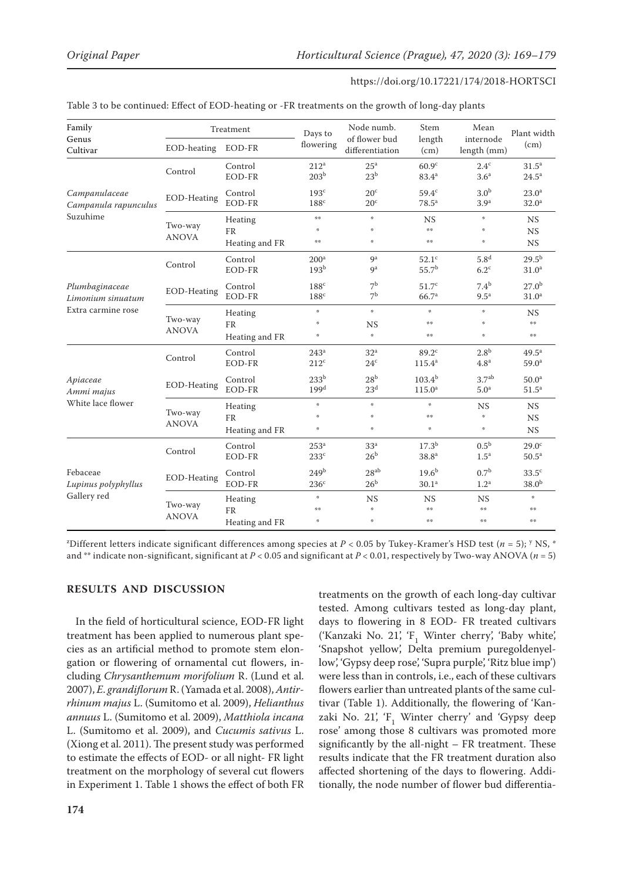| Family<br>Genus                                           | Treatment               |                                 | Days to                                                                       | Node numb.<br>of flower bud                                              | Stem                                          | Mean<br>internode                                         | Plant width                            |
|-----------------------------------------------------------|-------------------------|---------------------------------|-------------------------------------------------------------------------------|--------------------------------------------------------------------------|-----------------------------------------------|-----------------------------------------------------------|----------------------------------------|
| Cultivar                                                  | EOD-heating             | EOD-FR                          | flowering                                                                     | differentiation                                                          | length<br>(cm)                                | length (mm)                                               | (cm)                                   |
|                                                           | Control                 | Control<br>EOD-FR               | $212^a$<br>203 <sup>b</sup>                                                   | 25 <sup>a</sup><br>23 <sup>b</sup>                                       | 60.9 <sup>c</sup><br>$83.4^{a}$               | $2.4^{\circ}$<br>3.6 <sup>a</sup>                         | 31.5 <sup>a</sup><br>$24.5^{\circ}$    |
| Campanulaceae<br>Campanula rapunculus                     | EOD-Heating             | Control<br><b>EOD-FR</b>        | 193 <sup>c</sup><br>$188^c$                                                   | 20 <sup>c</sup><br>$20^{\circ}$                                          | 59.4 <sup>c</sup><br>78.5 <sup>a</sup>        | 3.0 <sup>b</sup><br>3.9 <sup>a</sup>                      | 23.0 <sup>a</sup><br>32.0 <sup>a</sup> |
| Suzuhime                                                  | Two-way<br><b>ANOVA</b> | Heating<br>FR                   | 操操<br>嗓                                                                       | $\frac{d\mathbf{y}}{dt}$<br>崇                                            | <b>NS</b><br>染染                               | $\mathfrak{H}$<br>崇                                       | NS<br><b>NS</b>                        |
|                                                           |                         | Heating and FR                  | 操作                                                                            | 崇                                                                        | 染染                                            | 崇                                                         | <b>NS</b>                              |
| Plumbaginaceae<br>Limonium sinuatum<br>Extra carmine rose | Control                 | Control<br>EOD-FR               | 200 <sup>a</sup><br>193 <sup>b</sup>                                          | <b>g</b> a<br>9 <sup>a</sup>                                             | 52.1 <sup>c</sup><br>55.7 <sup>b</sup>        | 5.8 <sup>d</sup><br>$6.2^{\circ}$                         | 29.5 <sup>b</sup><br>31.0 <sup>a</sup> |
|                                                           | EOD-Heating             | Control<br>EOD-FR               | $188^{\circ}$<br>$188^{\circ}$                                                | 7 <sup>b</sup><br>7 <sup>b</sup>                                         | 51.7 <sup>c</sup><br>66.7 <sup>a</sup>        | 7.4 <sup>b</sup><br>$9.5^{\mathrm{a}}$                    | $27.0^{b}$<br>31.0 <sup>a</sup>        |
|                                                           | Two-way<br><b>ANOVA</b> | Heating<br>FR<br>Heating and FR | $\mathcal{G}$<br>$\mathcal{U}_\mathcal{K}$<br>$\frac{\partial f}{\partial t}$ | $\frac{d\Phi}{d\hbar}$<br><b>NS</b><br>$\frac{d\mathbf{r}}{d\mathbf{r}}$ | $\frac{d\mathbf{r}}{d\mathbf{r}}$<br>染染<br>染染 | $\mathfrak{p}$<br>$\mathcal{L}$<br>$\frac{d\Phi}{d\hbar}$ | <b>NS</b><br>染染<br>$\pm\pm$            |
|                                                           | Control                 | Control<br>EOD-FR               | 243 <sup>a</sup><br>$212^{\circ}$                                             | 32 <sup>a</sup><br>24 <sup>c</sup>                                       | $89.2^{\circ}$<br>$115.4^{a}$                 | 2.8 <sup>b</sup><br>4.8 <sup>a</sup>                      | $49.5^{\text{a}}$<br>59.0 <sup>a</sup> |
| Apiaceae<br>Ammi majus                                    | EOD-Heating             | Control<br>EOD-FR               | 233 <sup>b</sup><br>199 <sup>d</sup>                                          | 28 <sup>b</sup><br>23 <sup>d</sup>                                       | $103.4^{b}$<br>115.0 <sup>a</sup>             | 3.7 <sup>ab</sup><br>5.0 <sup>a</sup>                     | 50.0 <sup>a</sup><br>51.5 <sup>a</sup> |
| White lace flower                                         | Two-way<br><b>ANOVA</b> | Heating<br>FR<br>Heating and FR | $\mathcal{G}_\mathcal{R}$<br>嗪<br>$\mathcal{U}_\mathcal{K}$                   | $\frac{d\mathbf{r}}{d\mathbf{r}}$<br>嗪<br>嗪                              | 崇<br>染染<br>崇                                  | <b>NS</b><br>崇<br>$z_{\rm F}^{\rm s}$                     | NS<br><b>NS</b><br><b>NS</b>           |
|                                                           | Control                 | Control<br>EOD-FR               | 253 <sup>a</sup><br>233 <sup>c</sup>                                          | 33 <sup>a</sup><br>26 <sup>b</sup>                                       | $17.3^{b}$<br>38.8 <sup>a</sup>               | $0.5^{\rm b}$<br>1.5 <sup>a</sup>                         | 29.0 <sup>c</sup><br>50.5 <sup>a</sup> |
| Febaceae<br>Lupinus polyphyllus                           | EOD-Heating             | Control<br>EOD-FR               | 249 <sup>b</sup><br>236 <sup>c</sup>                                          | $28^{ab}$<br>26 <sup>b</sup>                                             | $19.6^{b}$<br>30.1 <sup>a</sup>               | $0.7^{\rm b}$<br>1.2 <sup>a</sup>                         | $33.5^{\circ}$<br>38.0 <sup>b</sup>    |
| Gallery red                                               | Two-way                 | Heating<br>FR                   | $\mathcal{U}_\mathcal{K}$<br>染染                                               | <b>NS</b><br>嗪                                                           | <b>NS</b><br>染染                               | <b>NS</b><br>染染                                           | 崇<br>检验                                |
|                                                           | <b>ANOVA</b>            | Heating and FR                  | $\mathcal{G}$                                                                 | 嗪                                                                        | 操操                                            | 操操                                                        | 染染                                     |

z Different letters indicate significant differences among species at *P* < 0.05 by Tukey-Kramer's HSD test (*n* = 5); <sup>y</sup> NS, \* and \*\* indicate non-significant, significant at  $P < 0.05$  and significant at  $P < 0.01$ , respectively by Two-way ANOVA ( $n = 5$ )

#### **RESULTS AND DISCUSSION**

In the field of horticultural science, EOD-FR light treatment has been applied to numerous plant species as an artificial method to promote stem elongation or flowering of ornamental cut flowers, including *Chrysanthemum morifolium* R. (Lund et al. 2007), *E*. *grandiflorum* R. (Yamada et al. 2008), *Antirrhinum majus* L. (Sumitomo et al. 2009), *Helianthus annuus* L. (Sumitomo et al. 2009), *Matthiola incana* L. (Sumitomo et al. 2009), and *Cucumis sativus* L. (Xiong et al. 2011). The present study was performed to estimate the effects of EOD- or all night- FR light treatment on the morphology of several cut flowers in Experiment 1. Table 1 shows the effect of both FR

treatments on the growth of each long-day cultivar tested. Among cultivars tested as long-day plant, days to flowering in 8 EOD- FR treated cultivars ('Kanzaki No. 21', 'F<sub>1</sub> Winter cherry', 'Baby white', 'Snapshot yellow', Delta premium puregoldenyellow', 'Gypsy deep rose', 'Supra purple', 'Ritz blue imp') were less than in controls, i.e., each of these cultivars flowers earlier than untreated plants of the same cultivar (Table 1). Additionally, the flowering of 'Kanzaki No. 21',  $F_1$  Winter cherry' and 'Gypsy deep rose' among those 8 cultivars was promoted more significantly by the all-night – FR treatment. These results indicate that the FR treatment duration also affected shortening of the days to flowering. Additionally, the node number of flower bud differentia-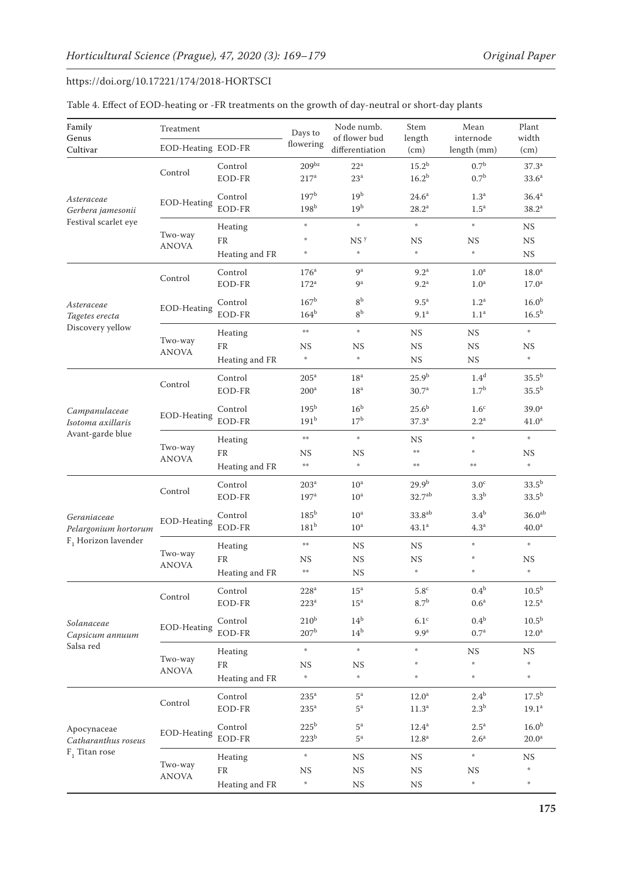| Family<br>Genus                       | Treatment<br>EOD-Heating EOD-FR |                       | Days to<br>flowering                  | Node numb.<br>of flower bud        | Stem<br>length                            | Mean<br>internode                      | Plant<br>width                         |
|---------------------------------------|---------------------------------|-----------------------|---------------------------------------|------------------------------------|-------------------------------------------|----------------------------------------|----------------------------------------|
| Cultivar                              |                                 |                       |                                       | differentiation                    | (cm)                                      | length (mm)                            | (cm)                                   |
| Asteraceae<br>Gerbera jamesonii       | Control                         | Control<br>EOD-FR     | 209 <sup>bz</sup><br>217 <sup>a</sup> | 22 <sup>a</sup><br>$23^{\rm a}$    | $15.2^{\rm b}$<br>16.2 <sup>b</sup>       | 0.7 <sup>b</sup><br>0.7 <sup>b</sup>   | $37.3^{a}$<br>33.6 <sup>a</sup>        |
|                                       | EOD-Heating                     | Control<br>EOD-FR     | 197 <sup>b</sup><br>198 <sup>b</sup>  | 19 <sup>b</sup><br>19 <sup>b</sup> | $24.6^{\circ}$<br>$28.2^a$                | 1.3 <sup>a</sup><br>$1.5^{\mathrm{a}}$ | 36.4 <sup>a</sup><br>38.2 <sup>a</sup> |
| Festival scarlet eye                  |                                 | Heating               | $\mathfrak{p}$                        | $\eta$                             | $\eta$                                    | $\frac{d\Phi}{d\hbar}$                 | <b>NS</b>                              |
|                                       | Two-way<br><b>ANOVA</b>         | FR                    | 崇                                     | NS <sup>y</sup>                    | $_{\rm NS}$                               | <b>NS</b>                              | NS                                     |
|                                       |                                 | Heating and FR        | $\psi$                                | $\mathfrak{H}$                     | $\eta$                                    | ş.                                     | $_{\rm NS}$                            |
|                                       |                                 | Control               | 176 <sup>a</sup>                      | 9 <sup>a</sup>                     | 9.2 <sup>a</sup>                          | 1.0 <sup>a</sup>                       | 18.0 <sup>a</sup>                      |
|                                       | Control                         | EOD-FR                | $172^a$                               | 9 <sup>a</sup>                     | 9.2 <sup>a</sup>                          | 1.0 <sup>a</sup>                       | 17.0 <sup>a</sup>                      |
| Asteraceae                            |                                 | Control               | 167 <sup>b</sup>                      | 8 <sup>b</sup>                     | $9.5^{\mathrm{a}}$                        | 1.2 <sup>a</sup>                       | 16.0 <sup>b</sup>                      |
| Tagetes erecta                        | EOD-Heating                     | EOD-FR                | $164^b$                               | 8 <sup>b</sup>                     | 9.1 <sup>a</sup>                          | 1.1 <sup>a</sup>                       | $16.5^{\rm b}$                         |
| Discovery yellow                      |                                 | Heating               | 染染                                    | $\frac{d\Phi}{d\hbar}$             | $_{\rm NS}$                               | <b>NS</b>                              | $\frac{d\mathbf{r}}{d\mathbf{r}}$      |
|                                       | Two-way                         | FR                    | NS                                    | <b>NS</b>                          | $_{\rm NS}$                               | $_{\rm NS}$                            | <b>NS</b>                              |
|                                       | <b>ANOVA</b>                    | Heating and FR        | $\mathbf{z}_k$                        | $\frac{d\mathbf{r}}{d\mathbf{r}}$  | $_{\rm NS}$                               | $_{\rm NS}$                            | $\frac{d\Phi}{dt}$                     |
|                                       |                                 | Control               | $205^a$                               | 18 <sup>a</sup>                    | $25.9^{b}$                                | 1.4 <sup>d</sup>                       | $35.5^{b}$                             |
|                                       | Control                         | EOD-FR                | 200 <sup>a</sup>                      | 18 <sup>a</sup>                    | 30.7 <sup>a</sup>                         | 1.7 <sup>b</sup>                       | $35.5^{\rm b}$                         |
|                                       |                                 |                       |                                       |                                    |                                           |                                        |                                        |
| Campanulaceae                         | EOD-Heating                     | Control<br>EOD-FR     | 195 <sup>b</sup><br>191 <sup>b</sup>  | 16 <sup>b</sup><br>17 <sup>b</sup> | 25.6 <sup>b</sup><br>37.3 <sup>a</sup>    | 1.6 <sup>c</sup><br>2.2 <sup>a</sup>   | 39.0 <sup>a</sup><br>41.0 <sup>a</sup> |
| Isotoma axillaris<br>Avant-garde blue |                                 |                       |                                       |                                    |                                           |                                        |                                        |
|                                       | Two-way<br><b>ANOVA</b>         | Heating               | 染染                                    | $\frac{d\mathbf{r}}{d\mathbf{r}}$  | <b>NS</b>                                 | $\frac{d\mathbf{r}}{d\mathbf{r}}$      | $\mathfrak{g}$                         |
|                                       |                                 | FR                    | NS                                    | <b>NS</b>                          | $\pm \pm$                                 | 崇                                      | <b>NS</b>                              |
|                                       |                                 | Heating and FR        | $\frac{1}{2}$                         | $\frac{d\mathbf{r}}{d\mathbf{r}}$  | $\pm \pm$                                 | 染染                                     | $\frac{d\Phi}{d\hbar}$                 |
|                                       | Control                         | Control               | 203 <sup>a</sup>                      | 10 <sup>a</sup>                    | 29.9 <sup>b</sup>                         | 3.0 <sup>c</sup>                       | $33.5^{b}$                             |
|                                       |                                 | EOD-FR                | 197 <sup>a</sup>                      | 10 <sup>a</sup>                    | 32.7 <sup>ab</sup>                        | 3.3 <sup>b</sup>                       | $33.5^{b}$                             |
| Geraniaceae                           |                                 | Control               | 185 <sup>b</sup>                      | 10 <sup>a</sup>                    | 33.8 <sup>ab</sup>                        | 3.4 <sup>b</sup>                       | 36.0 <sup>ab</sup>                     |
| Pelargonium hortorum                  | EOD-Heating                     | EOD-FR                | 181 <sup>b</sup>                      | 10 <sup>a</sup>                    | 43.1 <sup>a</sup>                         | 4.3 <sup>a</sup>                       | 40.0 <sup>a</sup>                      |
| $F_1$ Horizon lavender                | Two-way                         | Heating               | $\frac{1}{2}$                         | <b>NS</b>                          | <b>NS</b>                                 | $\frac{d\Phi}{dt}$                     | $\frac{d\mathbf{y}}{dt}$               |
|                                       |                                 | FR                    | NS                                    | <b>NS</b>                          | <b>NS</b>                                 | 柴                                      | NS                                     |
|                                       | <b>ANOVA</b>                    | Heating and FR        | 染染                                    | <b>NS</b>                          | $\mathcal{G}^{\mathcal{U}}_{\mathcal{U}}$ | 崇                                      | $\eta$                                 |
|                                       |                                 | Control               | $228^a$                               | $15^{\rm a}$                       | $5.8^{\rm c}$                             | 0.4 <sup>b</sup>                       | 10.5 <sup>b</sup>                      |
|                                       | Control                         | EOD-FR                | $223^a$                               | 15 <sup>a</sup>                    | 8.7 <sup>b</sup>                          | 0.6 <sup>a</sup>                       | $12.5^a$                               |
|                                       | EOD-Heating                     | Control               | 210 <sup>b</sup>                      | $14^{\rm b}$                       | 6.1 <sup>c</sup>                          | $0.4^{\rm b}$                          | 10.5 <sup>b</sup>                      |
| Solanaceae<br>Capsicum annuum         |                                 | EOD-FR                | 207 <sup>b</sup>                      | $14^{\rm b}$                       | 9.9 <sup>a</sup>                          | 0.7 <sup>a</sup>                       | $12.0^{\rm a}$                         |
| Salsa red                             |                                 |                       | $\psi$                                | $\mathfrak{g}$                     | $\frac{1}{2}$                             |                                        |                                        |
|                                       | Two-way                         | Heating<br>${\rm FR}$ | $_{\rm NS}$                           | $_{\rm NS}$                        | 崇                                         | <b>NS</b><br>ş.                        | <b>NS</b><br>$\frac{d\Phi}{d\hbar}$    |
|                                       | <b>ANOVA</b>                    | Heating and FR        | $\mathcal{G}_\mathcal{R}$             | $\frac{d\Phi}{dt}$                 | $\frac{1}{2}$                             | $\mathfrak{p}$                         | $\frac{d\Phi}{dt}$                     |
|                                       |                                 |                       |                                       |                                    |                                           |                                        |                                        |
|                                       | Control                         | Control               | $235^a$                               | $5^{\rm a}$<br>$5^{\mathrm{a}}$    | 12.0 <sup>a</sup>                         | $2.4^{\rm b}$                          | $17.5^{\rm b}$                         |
|                                       |                                 | EOD-FR                | $235^{\circ}$                         |                                    | 11.3 <sup>a</sup>                         | 2.3 <sup>b</sup>                       | 19.1 <sup>a</sup>                      |
| Apocynaceae                           | EOD-Heating                     | Control               | $225^{\rm b}$                         | $5^{\rm a}$                        | $12.4^a$                                  | $2.5^{\mathrm{a}}$                     | 16.0 <sup>b</sup>                      |
| Catharanthus roseus                   |                                 | EOD-FR                | 223 <sup>b</sup>                      | $5^{\mathrm{a}}$                   | $12.8^{\rm a}$                            | 2.6 <sup>a</sup>                       | $20.0^{\rm a}$                         |
| $F_1$ Titan rose                      | Two-way                         | Heating               | $\mathbf{z}_k$                        | <b>NS</b>                          | <b>NS</b>                                 | $\mathfrak{g}_t$                       | <b>NS</b>                              |
|                                       | <b>ANOVA</b>                    | ${\rm FR}$            | <b>NS</b>                             | <b>NS</b>                          | $_{\rm NS}$                               | <b>NS</b>                              | $\mathbf{r}_R^{\mathrm{a}}$            |
|                                       |                                 | Heating and FR        | ¢,                                    | $_{\rm NS}$                        | $_{\rm NS}$                               | $\mathfrak{p}$                         | $\mathbf{r}_R^{\mathrm{a}}$            |

## Table 4. Effect of EOD-heating or -FR treatments on the growth of day-neutral or short-day plants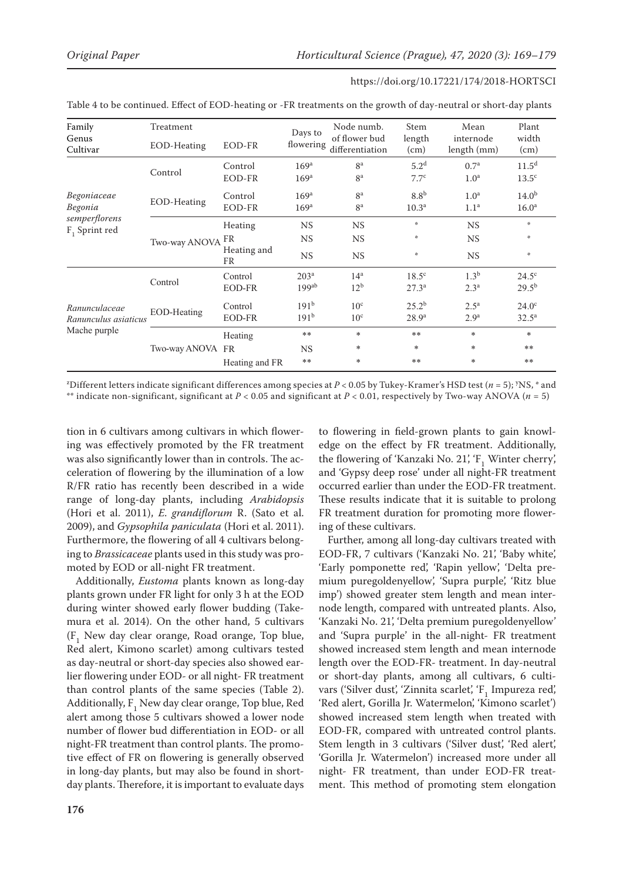| Family<br>Genus<br>Cultivar       | Treatment<br>EOD-Heating | EOD-FR            | Days to<br>flowering | Node numb.<br>of flower bud<br>differentiation | Stem<br>length<br>(cm) | Mean<br>internode<br>length (mm) | Plant<br>width<br>(cm) |
|-----------------------------------|--------------------------|-------------------|----------------------|------------------------------------------------|------------------------|----------------------------------|------------------------|
|                                   | Control                  | Control           | 169 <sup>a</sup>     | 8 <sup>a</sup>                                 | 5.2 <sup>d</sup>       | 0.7 <sup>a</sup>                 | 11.5 <sup>d</sup>      |
|                                   |                          | EOD-FR            | 169 <sup>a</sup>     | 8 <sup>a</sup>                                 | 7.7 <sup>c</sup>       | 1.0 <sup>a</sup>                 | $13.5^{\circ}$         |
| Begoniaceae                       | EOD-Heating              | Control           | 169 <sup>a</sup>     | 8 <sup>a</sup>                                 | 8.8 <sup>b</sup>       | 1.0 <sup>a</sup>                 | 14.0 <sup>b</sup>      |
| Begonia                           |                          | EOD-FR            | 169 <sup>a</sup>     | 8 <sup>a</sup>                                 | 10.3 <sup>a</sup>      | 1.1 <sup>a</sup>                 | 16.0 <sup>a</sup>      |
| semperflorens<br>$F_1$ Sprint red | Two-way ANOVA FR         | Heating           | <b>NS</b>            | <b>NS</b>                                      | 崇                      | <b>NS</b>                        | 崇                      |
|                                   |                          |                   | <b>NS</b>            | <b>NS</b>                                      | *                      | $_{\rm NS}$                      | 崇                      |
|                                   |                          | Heating and<br>FR | <b>NS</b>            | <b>NS</b>                                      | 崇                      | <b>NS</b>                        | $\frac{1}{2}$          |
|                                   | Control                  | Control           | 203 <sup>a</sup>     | 14 <sup>a</sup>                                | $18.5^{\circ}$         | 1.3 <sup>b</sup>                 | $24.5^\circ$           |
|                                   |                          | <b>EOD-FR</b>     | 199 <sup>ab</sup>    | 12 <sup>b</sup>                                | $27.3^{a}$             | 2.3 <sup>a</sup>                 | $29.5^{b}$             |
| Ranunculaceae                     | EOD-Heating              | Control           | $191^{b}$            | 10 <sup>c</sup>                                | $25.2^{b}$             | $2.5^{\mathrm{a}}$               | $24.0^\circ$           |
| Ranunculus asiaticus              |                          | EOD-FR            | 191 <sup>b</sup>     | 10 <sup>c</sup>                                | 28.9 <sup>a</sup>      | 2.9 <sup>a</sup>                 | $32.5^{\circ}$         |
| Mache purple                      |                          | Heating           | **                   | *                                              | **                     | *                                | $\ast$                 |
|                                   | Two-way ANOVA FR         |                   | <b>NS</b>            | *                                              | *                      | *                                | **                     |
|                                   |                          | Heating and FR    | **                   | *                                              | **                     | *                                | **                     |

Table 4 to be continued. Effect of EOD-heating or -FR treatments on the growth of day-neutral or short-day plants

z Different letters indicate significant differences among species at *P* < 0.05 by Tukey-Kramer's HSD test (*n* = 5); y NS, \* and \*\* indicate non-significant, significant at *P* < 0.05 and significant at *P* < 0.01, respectively by Two-way ANOVA (*n* = 5)

tion in 6 cultivars among cultivars in which flowering was effectively promoted by the FR treatment was also significantly lower than in controls. The acceleration of flowering by the illumination of a low R/FR ratio has recently been described in a wide range of long-day plants, including *Arabidopsis* (Hori et al. 2011), *E*. *grandiflorum* R. (Sato et al. 2009), and *Gypsophila paniculata* (Hori et al. 2011). Furthermore, the flowering of all 4 cultivars belonging to *Brassicaceae* plants used in this study was promoted by EOD or all-night FR treatment.

Additionally, *Eustoma* plants known as long-day plants grown under FR light for only 3 h at the EOD during winter showed early flower budding (Takemura et al. 2014). On the other hand, 5 cultivars  $(F_1$  New day clear orange, Road orange, Top blue, Red alert, Kimono scarlet) among cultivars tested as day-neutral or short-day species also showed earlier flowering under EOD- or all night- FR treatment than control plants of the same species (Table 2). Additionally,  $F_1$  New day clear orange, Top blue, Red alert among those 5 cultivars showed a lower node number of flower bud differentiation in EOD- or all night-FR treatment than control plants. The promotive effect of FR on flowering is generally observed in long-day plants, but may also be found in shortday plants. Therefore, it is important to evaluate days

to flowering in field-grown plants to gain knowledge on the effect by FR treatment. Additionally, the flowering of 'Kanzaki No. 21',  $F_1$  Winter cherry', and 'Gypsy deep rose' under all night-FR treatment occurred earlier than under the EOD-FR treatment. These results indicate that it is suitable to prolong FR treatment duration for promoting more flowering of these cultivars.

Further, among all long-day cultivars treated with EOD-FR, 7 cultivars ('Kanzaki No. 21', 'Baby white', 'Early pomponette red', 'Rapin yellow', 'Delta premium puregoldenyellow', 'Supra purple', 'Ritz blue imp') showed greater stem length and mean internode length, compared with untreated plants. Also, 'Kanzaki No. 21', 'Delta premium puregoldenyellow' and 'Supra purple' in the all-night- FR treatment showed increased stem length and mean internode length over the EOD-FR- treatment. In day-neutral or short-day plants, among all cultivars, 6 cultivars ('Silver dust', 'Zinnita scarlet', 'F<sub>1</sub> Impureza red', 'Red alert, Gorilla Jr. Watermelon', 'Kimono scarlet') showed increased stem length when treated with EOD-FR, compared with untreated control plants. Stem length in 3 cultivars ('Silver dust', 'Red alert', 'Gorilla Jr. Watermelon') increased more under all night- FR treatment, than under EOD-FR treatment. This method of promoting stem elongation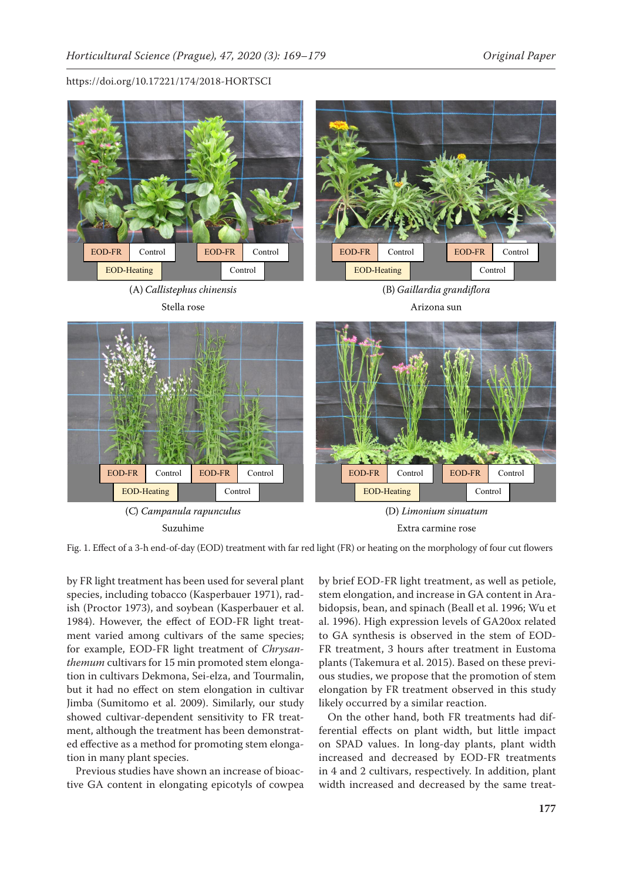

Fig. 1. Effect of a 3-h end-of-day (EOD) treatment with far red light (FR) or heating on the morphology of four cut flowers

by FR light treatment has been used for several plant by brief EOD-FR light treatment, as  $\cdot$ species, including tobacco (Kasperbauer 1971), radish (Proctor 1973), and soybean (Kasperbauer et al. 1984). However, the effect of EOD-FR light treatment varied among cultivars of the same species; for example, EOD-FR light treatment of *Chrysanthemum* cultivars for 15 min promoted stem elongation in cultivars Dekmona, Sei-elza, and Tourmalin, but it had no effect on stem elongation in cultivar Jimba (Sumitomo et al. 2009). Similarly, our study showed cultivar-dependent sensitivity to FR treatment, although the treatment has been demonstrated effective as a method for promoting stem elongation in many plant species.

Previous studies have shown an increase of bioactive GA content in elongating epicotyls of cowpea

by brief EOD-FR light treatment, as well as petiole, stem elongation, and increase in GA content in Arabidopsis, bean, and spinach (Beall et al. 1996; Wu et al. 1996). High expression levels of GA20ox related to GA synthesis is observed in the stem of EOD-FR treatment, 3 hours after treatment in Eustoma plants (Takemura et al. 2015). Based on these previous studies, we propose that the promotion of stem elongation by FR treatment observed in this study likely occurred by a similar reaction.

On the other hand, both FR treatments had differential effects on plant width, but little impact on SPAD values. In long-day plants, plant width increased and decreased by EOD-FR treatments in 4 and 2 cultivars, respectively. In addition, plant width increased and decreased by the same treat-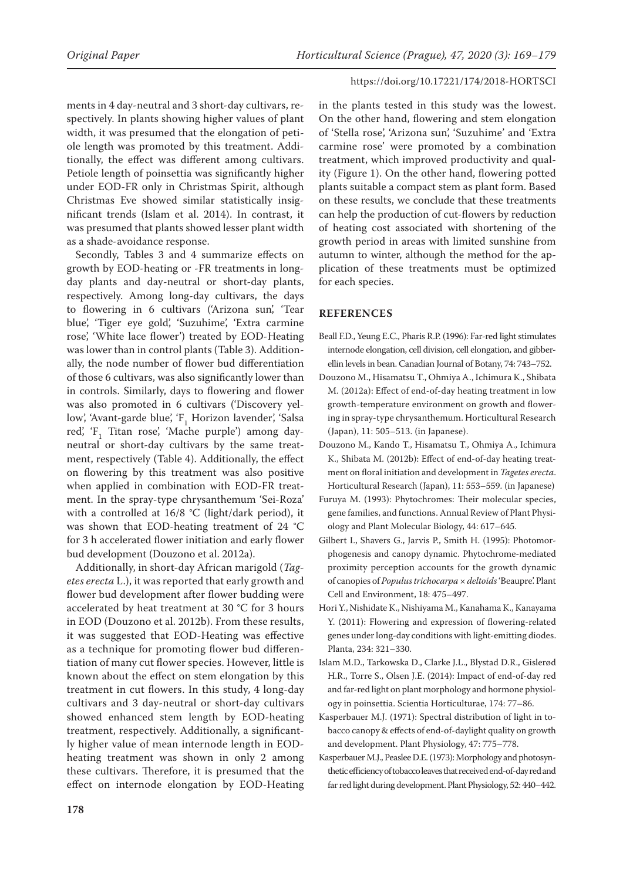ments in 4 day-neutral and 3 short-day cultivars, respectively. In plants showing higher values of plant width, it was presumed that the elongation of petiole length was promoted by this treatment. Additionally, the effect was different among cultivars. Petiole length of poinsettia was significantly higher under EOD-FR only in Christmas Spirit, although Christmas Eve showed similar statistically insignificant trends (Islam et al. 2014). In contrast, it was presumed that plants showed lesser plant width as a shade-avoidance response.

Secondly, Tables 3 and 4 summarize effects on growth by EOD-heating or -FR treatments in longday plants and day-neutral or short-day plants, respectively. Among long-day cultivars, the days to flowering in 6 cultivars ('Arizona sun', 'Tear blue', 'Tiger eye gold', 'Suzuhime', 'Extra carmine rose', 'White lace flower') treated by EOD-Heating was lower than in control plants (Table 3). Additionally, the node number of flower bud differentiation of those 6 cultivars, was also significantly lower than in controls. Similarly, days to flowering and flower was also promoted in 6 cultivars ('Discovery yellow', 'Avant-garde blue', ' $F_1$  Horizon lavender', 'Salsa red', 'F<sub>1</sub> Titan rose', 'Mache purple') among dayneutral or short-day cultivars by the same treatment, respectively (Table 4). Additionally, the effect on flowering by this treatment was also positive when applied in combination with EOD-FR treatment. In the spray-type chrysanthemum 'Sei-Roza' with a controlled at 16/8 °C (light/dark period), it was shown that EOD-heating treatment of 24 °C for 3 h accelerated flower initiation and early flower bud development (Douzono et al. 2012a).

Additionally, in short-day African marigold (*Tagetes erecta* L.), it was reported that early growth and flower bud development after flower budding were accelerated by heat treatment at 30 °C for 3 hours in EOD (Douzono et al. 2012b). From these results, it was suggested that EOD-Heating was effective as a technique for promoting flower bud differentiation of many cut flower species. However, little is known about the effect on stem elongation by this treatment in cut flowers. In this study, 4 long-day cultivars and 3 day-neutral or short-day cultivars showed enhanced stem length by EOD-heating treatment, respectively. Additionally, a significantly higher value of mean internode length in EODheating treatment was shown in only 2 among these cultivars. Therefore, it is presumed that the effect on internode elongation by EOD-Heating in the plants tested in this study was the lowest. On the other hand, flowering and stem elongation of 'Stella rose', 'Arizona sun', 'Suzuhime' and 'Extra carmine rose' were promoted by a combination treatment, which improved productivity and quality (Figure 1). On the other hand, flowering potted plants suitable a compact stem as plant form. Based on these results, we conclude that these treatments can help the production of cut-flowers by reduction of heating cost associated with shortening of the growth period in areas with limited sunshine from autumn to winter, although the method for the application of these treatments must be optimized for each species.

#### **REFERENCES**

- Beall F.D., Yeung E.C., Pharis R.P. (1996): Far-red light stimulates internode elongation, cell division, cell elongation, and gibberellin levels in bean. Canadian Journal of Botany, 74: 743–752.
- Douzono M., Hisamatsu T., Ohmiya A., Ichimura K., Shibata M. (2012a): Effect of end-of-day heating treatment in low growth-temperature environment on growth and flowering in spray-type chrysanthemum. Horticultural Research (Japan), 11: 505–513. (in Japanese).
- Douzono M., Kando T., Hisamatsu T., Ohmiya A., Ichimura K., Shibata M. (2012b): Effect of end-of-day heating treatment on floral initiation and development in *Tagetes erecta*. Horticultural Research (Japan), 11: 553–559. (in Japanese)
- Furuya M. (1993): Phytochromes: Their molecular species, gene families, and functions. Annual Review of Plant Physiology and Plant Molecular Biology, 44: 617–645.
- Gilbert I., Shavers G., Jarvis P., Smith H. (1995): Photomorphogenesis and canopy dynamic. Phytochrome-mediated proximity perception accounts for the growth dynamic of canopies of *Populus trichocarpa* × *deltoids* 'Beaupre'. Plant Cell and Environment, 18: 475–497.
- Hori Y., Nishidate K., Nishiyama M., Kanahama K., Kanayama Y. (2011): Flowering and expression of flowering-related genes under long-day conditions with light-emitting diodes. Planta, 234: 321–330.
- Islam M.D., Tarkowska D., Clarke J.L., Blystad D.R., Gislerød H.R., Torre S., Olsen J.E. (2014): Impact of end-of-day red and far-red light on plant morphology and hormone physiology in poinsettia. Scientia Horticulturae, 174: 77–86.
- Kasperbauer M.J. (1971): Spectral distribution of light in tobacco canopy & effects of end-of-daylight quality on growth and development. Plant Physiology, 47: 775–778.
- Kasperbauer M.J., Peaslee D.E. (1973): Morphology and photosynthetic efficiency of tobacco leaves that received end-of-day red and far red light during development. Plant Physiology, 52: 440–442.